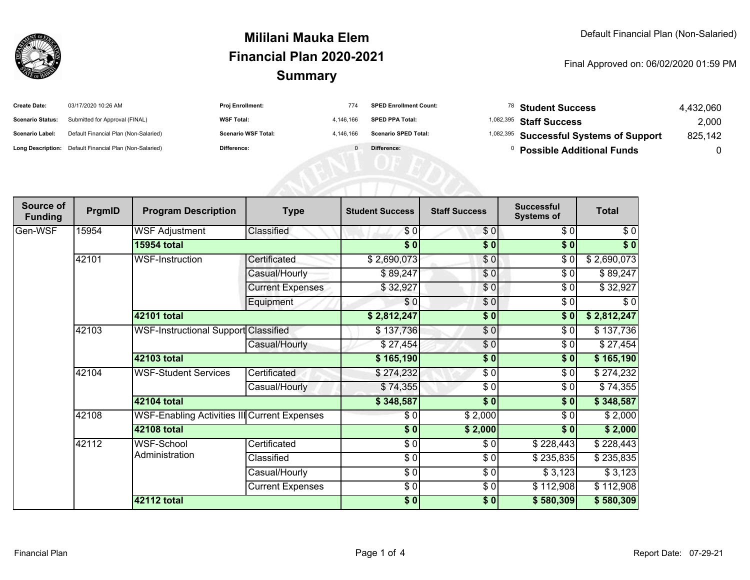

## **SummaryMililani Mauka ElemFinancial Plan 2020-2021**

Final Approved on: 06/02/2020 01:59 PM

| <b>Create Date:</b>     | 03/17/2020 10:26 AM                                     | <b>Proj Enrollment:</b>    |           | <b>SPED Enrollment Count:</b> | $^{78}$ Student Success                            | 4.432.060 |
|-------------------------|---------------------------------------------------------|----------------------------|-----------|-------------------------------|----------------------------------------------------|-----------|
| <b>Scenario Status:</b> | Submitted for Approval (FINAL)                          | <b>WSF Total:</b>          | 4.146.166 | <b>SPED PPA Total:</b>        | <sup>1,082,395</sup> Staff Success                 | 2,000     |
| Scenario Label:         | Default Financial Plan (Non-Salaried)                   | <b>Scenario WSF Total:</b> | 4.146.166 | <b>Scenario SPED Total:</b>   | <sup>1,082,395</sup> Successful Systems of Support | 825,142   |
|                         | Long Description: Default Financial Plan (Non-Salaried) | Difference:                |           | Difference:                   | <b>Possible Additional Funds</b>                   |           |

| Source of<br><b>Funding</b> | PrgmID | <b>Program Description</b>                   | <b>Type</b>             | <b>Student Success</b> | <b>Staff Success</b> | <b>Successful</b><br><b>Systems of</b> | <b>Total</b> |
|-----------------------------|--------|----------------------------------------------|-------------------------|------------------------|----------------------|----------------------------------------|--------------|
| Gen-WSF                     | 15954  | <b>WSF Adjustment</b>                        | Classified              | \$0                    | \$0                  | \$0                                    | \$0          |
|                             |        | <b>15954 total</b>                           |                         | $\sqrt{5}$             | $\sqrt{6}$           | \$0                                    | $\sqrt[6]{}$ |
|                             | 42101  | <b>WSF-Instruction</b>                       | Certificated            | \$2,690,073            | \$0                  | \$0                                    | \$2,690,073  |
|                             |        |                                              | Casual/Hourly           | \$89,247               | \$0                  | \$0                                    | \$89,247     |
|                             |        |                                              | <b>Current Expenses</b> | \$32,927               | \$0                  | \$0                                    | \$32,927     |
|                             |        |                                              | Equipment               | \$0                    | \$0                  | \$0                                    | \$0          |
|                             |        | 42101 total                                  |                         | \$2,812,247            | \$0                  | \$0                                    | \$2,812,247  |
|                             | 42103  | WSF-Instructional Support Classified         |                         | \$137,736              | \$0                  | \$0                                    | \$137,736    |
|                             |        |                                              | Casual/Hourly           | \$27,454               | \$0                  | \$0                                    | \$27,454     |
|                             |        | 42103 total                                  |                         | \$165,190              | $\frac{1}{6}$        | \$0                                    | \$165,190    |
|                             | 42104  | <b>WSF-Student Services</b>                  | Certificated            | \$274,232              | \$0                  | \$0                                    | \$274,232    |
|                             |        |                                              | Casual/Hourly           | \$74,355               | \$0                  | \$0                                    | \$74,355     |
|                             |        | 42104 total                                  |                         | \$348,587              | $\overline{\bullet}$ | \$0                                    | \$348,587    |
|                             | 42108  | WSF-Enabling Activities III Current Expenses |                         | \$0                    | \$2,000              | \$0                                    | \$2,000      |
|                             |        | 42108 total                                  |                         | $\sqrt{5}$             | \$2,000              | \$0]                                   | \$2,000      |
|                             | 42112  | WSF-School<br>Administration                 | Certificated            | \$0                    | \$0                  | \$228,443                              | \$228,443    |
|                             |        |                                              | Classified              | $\frac{6}{6}$          | \$0                  | \$235,835                              | \$235,835    |
|                             |        |                                              | Casual/Hourly           | $\sqrt{3}$             | \$0                  | \$3,123                                | \$3,123      |
|                             |        |                                              | <b>Current Expenses</b> | \$0                    | \$0                  | \$112,908                              | \$112,908    |
|                             |        | 42112 total                                  |                         | \$0]                   | \$0                  | \$580,309                              | \$580,309    |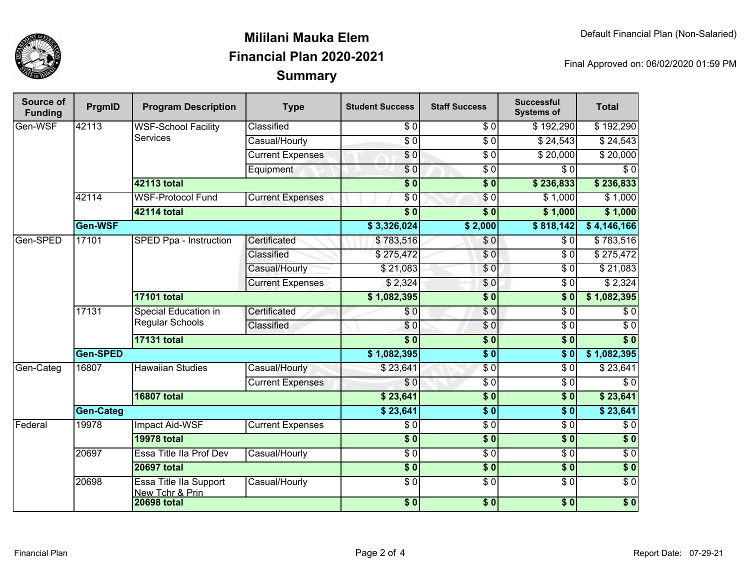

## **SummaryMililani Mauka ElemFinancial Plan 2020-2021**

Final Approved on: 06/02/2020 01:59 PM

| Source of<br><b>Funding</b> | PrgmID    | <b>Program Description</b>                     | <b>Type</b>             | <b>Student Success</b> | <b>Staff Success</b>       | <b>Successful</b><br><b>Systems of</b> | <b>Total</b>     |
|-----------------------------|-----------|------------------------------------------------|-------------------------|------------------------|----------------------------|----------------------------------------|------------------|
| Gen-WSF                     | 42113     | <b>WSF-School Facility</b><br><b>Services</b>  | Classified              | $\overline{\$0}$       | \$ 0                       | \$192,290                              | \$192,290        |
|                             |           |                                                | Casual/Hourly           | $\overline{S}0$        | $\sqrt{6}$                 | \$24,543                               | \$24,543         |
|                             |           |                                                | <b>Current Expenses</b> | $\sqrt{6}$             | $\overline{\$0}$           | $\sqrt{$}20,000$                       | \$20,000         |
|                             |           |                                                | Equipment               | $\overline{\$0}$       | $\overline{50}$            | \$0                                    | \$0              |
|                             |           | 42113 total                                    |                         | $\overline{\$0}$       | $\overline{\$0}$           | \$236,833                              | \$236,833        |
|                             | 42114     | <b>WSF-Protocol Fund</b>                       | <b>Current Expenses</b> | \$0                    | $\sqrt{6}$                 | $\sqrt{$}1,000$                        | \$1,000          |
|                             |           | 42114 total                                    |                         | $\overline{\$0}$       | $\overline{\bullet}$ 0     | \$1,000                                | \$1,000          |
|                             | Gen-WSF   |                                                |                         | \$3,326,024            | \$2,000                    | \$818,142                              | \$4,146,166      |
| Gen-SPED                    | 17101     | SPED Ppa - Instruction                         | Certificated            | \$783,516              | $\frac{6}{3}$              | \$0                                    | \$783,516        |
|                             |           |                                                | Classified              | \$275,472              | \$0                        | $\overline{S}0$                        | \$275,472        |
|                             |           |                                                | Casual/Hourly           | \$21,083               | $\frac{6}{3}$              | $\overline{\$0}$                       | \$21,083         |
|                             |           |                                                | <b>Current Expenses</b> | \$2,324                | \$0                        | $\overline{\$0}$                       | \$2,324          |
|                             |           | <b>17101 total</b>                             |                         | \$1,082,395            | $\overline{\$0}$           | $\overline{\$0}$                       | \$1,082,395      |
|                             | 17131     | Special Education in<br><b>Regular Schools</b> | Certificated            | \$0                    | $\overline{S}0$            | $\overline{\$0}$                       | $\sqrt{6}$       |
|                             |           |                                                | Classified              | \$0                    | \$0                        | $\overline{\$0}$                       | $\sqrt{6}$       |
|                             |           | <b>17131 total</b>                             |                         | $\overline{\$0}$       | $\overline{\$0}$           | $\overline{\$0}$                       | $\overline{\$0}$ |
|                             | Gen-SPED  |                                                |                         | \$1,082,395            | $\overline{\$0}$           | $\overline{\$0}$                       | \$1,082,395      |
| Gen-Categ                   | 16807     | <b>Hawaiian Studies</b>                        | Casual/Hourly           | \$23,641               | $\overline{\$0}$           | $\overline{\$0}$                       | \$23,641         |
|                             |           |                                                | <b>Current Expenses</b> | \$0                    | $\sqrt{6}$                 | $\overline{\$0}$                       | $\sqrt{6}$       |
|                             |           | <b>16807 total</b>                             |                         | \$23,641               | $\overline{\$0}$           | $\overline{\bullet}$ 0                 | \$23,641         |
|                             | Gen-Categ |                                                |                         | \$23,641               | $\overline{\$0}$           | $\overline{\$0}$                       | \$23,641         |
| Federal                     | 19978     | <b>Impact Aid-WSF</b>                          | <b>Current Expenses</b> | \$0                    | $\sqrt{6}$                 | $\overline{\$0}$                       | $\sqrt{6}$       |
|                             |           | <b>19978 total</b>                             |                         | $\overline{\$0}$       | $\overline{\$0}$           | $\overline{\$0}$                       | $\overline{\$0}$ |
|                             | 20697     | Essa Title IIa Prof Dev                        | Casual/Hourly           | $\overline{\$0}$       | $\overline{\$0}$           | $\overline{S}0$                        | $\overline{\$0}$ |
|                             |           | <b>20697 total</b>                             |                         | $\sqrt{6}$             | $\overline{\$0}$           | $\overline{\$0}$                       | $\overline{\$0}$ |
|                             | 20698     | Essa Title IIa Support<br>New Tchr & Prin      | Casual/Hourly           | \$0                    | $\overline{S}0$            | $\overline{\$0}$                       | \$0              |
|                             |           | <b>20698 total</b>                             |                         | \$0                    | $\overline{\phantom{0}30}$ | \$0                                    | $\overline{\$0}$ |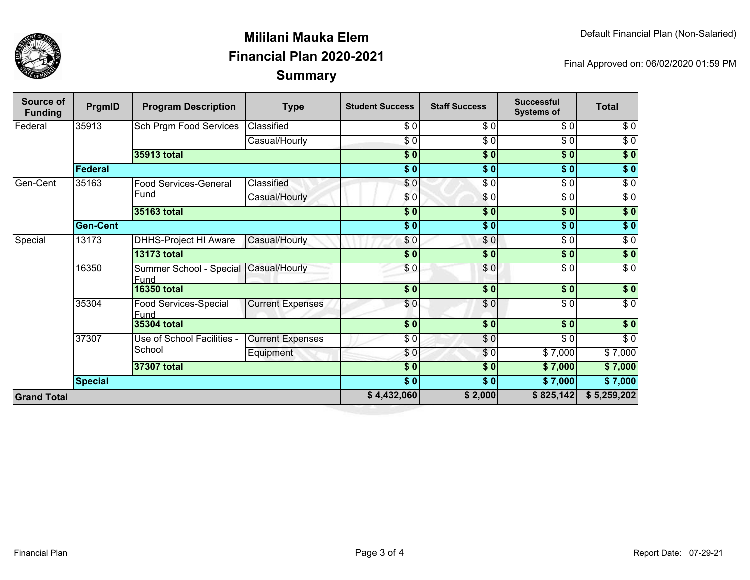

## **SummaryMililani Mauka ElemFinancial Plan 2020-2021**

Final Approved on: 06/02/2020 01:59 PM

| Source of<br><b>Funding</b> | PrgmID          | <b>Program Description</b>           | <b>Type</b>             | <b>Student Success</b> | <b>Staff Success</b> | <b>Successful</b><br><b>Systems of</b> | <b>Total</b>     |
|-----------------------------|-----------------|--------------------------------------|-------------------------|------------------------|----------------------|----------------------------------------|------------------|
| Federal                     | 35913           | <b>Sch Prgm Food Services</b>        | Classified              | \$0                    | \$0                  | \$0                                    | \$0              |
|                             |                 |                                      | Casual/Hourly           | \$0                    | \$0                  | $\sqrt{6}$                             | $\sqrt{6}$       |
|                             |                 | 35913 total                          |                         | $\overline{\$0}$       | $\sqrt{50}$          | $\overline{\$0}$                       | $\overline{\$0}$ |
|                             | Federal         |                                      |                         | $\overline{\bullet}$ 0 | $\overline{\$0}$     | $\overline{\$0}$                       | $\sqrt{50}$      |
| Gen-Cent                    | 35163           | <b>Food Services-General</b><br>Fund | Classified              | \$0                    | $\overline{\$0}$     | $\sqrt{6}$                             | $\overline{\$0}$ |
|                             |                 |                                      | Casual/Hourly           | \$0                    | $\sqrt{6}$           | $\sqrt{6}$                             | $\sqrt{6}$       |
|                             |                 | 35163 total                          |                         | \$0                    | \$0                  | \$0                                    | $\sqrt{50}$      |
|                             | <b>Gen-Cent</b> |                                      |                         | $\overline{\$}$ 0      | $\overline{\$0}$     | $\overline{\$0}$                       | $\overline{\$0}$ |
| Special                     | 13173           | <b>DHHS-Project HI Aware</b>         | Casual/Hourly           | $\frac{6}{3}$          | \$0                  | $\sqrt{6}$                             | $\sqrt{6}$       |
|                             |                 | <b>13173 total</b>                   |                         | $\overline{\$0}$       | \$0                  | \$0                                    | $\sqrt{50}$      |
|                             | 16350           | Summer School - Special<br>Fund      | Casual/Hourly           | \$0                    | \$0                  | $\sqrt{6}$                             | $\overline{\$0}$ |
|                             |                 | <b>16350 total</b>                   |                         | \$0]                   | \$0                  | \$0                                    | \$0              |
|                             | 35304           | Food Services-Special<br>Fund        | <b>Current Expenses</b> | \$0                    | \$0                  | $\overline{\$0}$                       | $\overline{\$0}$ |
|                             |                 | <b>35304 total</b>                   |                         | $\frac{1}{6}$          | $\overline{\bullet}$ | $\overline{\$0}$                       | $\overline{\$}0$ |
|                             | 37307           | Use of School Facilities -<br>School | <b>Current Expenses</b> | \$ 0                   | \$0                  | $\frac{6}{6}$                          | $\sqrt{6}$       |
|                             |                 |                                      | Equipment               | \$0                    | \$0                  | \$7,000                                | \$7,000          |
|                             |                 | 37307 total                          |                         | $\frac{1}{6}$          | \$0                  | \$7,000                                | \$7,000          |
|                             | <b>Special</b>  |                                      |                         | $\frac{6}{6}$          | $\sqrt{6}$           | \$7,000                                | \$7,000          |
| <b>Grand Total</b>          |                 |                                      | \$4,432,060             | \$2,000                | \$825,142            | \$5,259,202                            |                  |